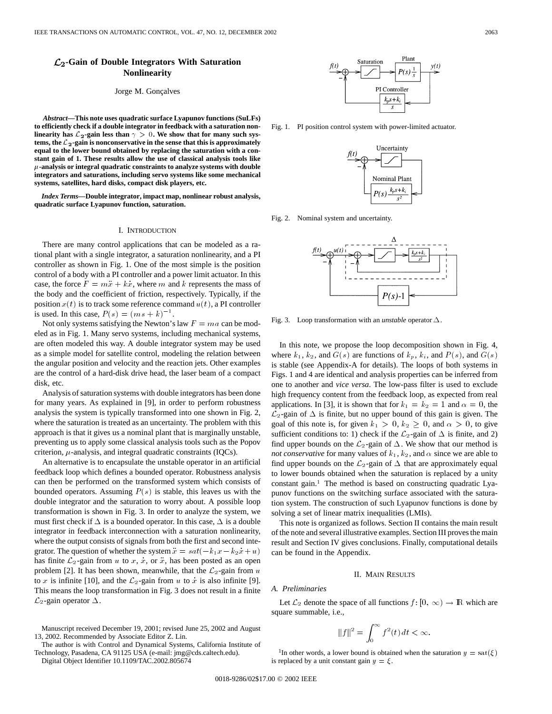# **-Gain of Double Integrators With Saturation Nonlinearity**

### Jorge M. Gonçalves

*Abstract—***This note uses quadratic surface Lyapunov functions (SuLFs) to efficiently check if a double integrator in feedback with a saturation non**linearity has  $\mathcal{L}_2$ -gain less than  $\gamma > 0$ . We show that for many such systems, the  $\mathcal{L}_2$ -gain is nonconservative in the sense that this is approximately **equal to the lower bound obtained by replacing the saturation with a constant gain of 1. These results allow the use of classical analysis tools like**  $\mu$ -analysis or integral quadratic constraints to analyze systems with double **integrators and saturations, including servo systems like some mechanical systems, satellites, hard disks, compact disk players, etc.**

*Index Terms—***Double integrator, impact map, nonlinear robust analysis, quadratic surface Lyapunov function, saturation.**

### I. INTRODUCTION

There are many control applications that can be modeled as a rational plant with a single integrator, a saturation nonlinearity, and a PI controller as shown in Fig. 1. One of the most simple is the position control of a body with a PI controller and a power limit actuator. In this case, the force  $F = m\ddot{x} + k\dot{x}$ , where m and k represents the mass of the body and the coefficient of friction, respectively. Typically, if the position  $x(t)$  is to track some reference command  $u(t)$ , a PI controller is used. In this case,  $P(s) = (ms + k)^{-1}$ . position  $x(t)$  is to track some reference command  $u(t)$ , a PI controller is used. In this case,  $P(s)=(ms + k)^{-1}$ .

Not only systems satisfying the Newton's law  $F = ma$  can be modeled as in Fig. 1. Many servo systems, including mechanical systems, are often modeled this way. A double integrator system may be used as a simple model for satellite control, modeling the relation between the angular position and velocity and the reaction jets. Other examples are the control of a hard-disk drive head, the laser beam of a compact disk, etc.

Analysis of saturation systems with double integrators has been done for many years. As explained in [9], in order to perform robustness analysis the system is typically transformed into one shown in Fig. 2, where the saturation is treated as an uncertainty. The problem with this approach is that it gives us a nominal plant that is marginally unstable, preventing us to apply some classical analysis tools such as the Popov criterion,  $\mu$ -analysis, and integral quadratic constraints (IQCs).

An alternative is to encapsulate the unstable operator in an artificial feedback loop which defines a bounded operator. Robustness analysis can then be performed on the transformed system which consists of bounded operators. Assuming  $P(s)$  is stable, this leaves us with the double integrator and the saturation to worry about. A possible loop transformation is shown in Fig. 3. In order to analyze the system, we must first check if  $\Delta$  is a bounded operator. In this case,  $\Delta$  is a double integrator in feedback interconnection with a saturation nonlinearity, where the output consists of signals from both the first and second integrator. The question of whether the system  $\ddot{x} = sat(-k_1x - k_2x + u)$ has finite  $\mathcal{L}_2$ -gain from u to x, x, or x, has been posted as an open problem [2]. It has been shown, meanwhile, that the  $\mathcal{L}_2$ -gain from u to x is infinite [10], and the  $\mathcal{L}_2$ -gain from u to x is also infinite [9]. This means the loop transformation in Fig. 3 does not result in a finite  $\mathcal{L}_2$ -gain operator  $\Delta$ .

Manuscript received December 19, 2001; revised June 25, 2002 and August 13, 2002. Recommended by Associate Editor Z. Lin.

The author is with Control and Dynamical Systems, California Institute of Technology, Pasadena, CA 91125 USA (e-mail: jmg@cds.caltech.edu).

Digital Object Identifier 10.1109/TAC.2002.805674



Fig. 1. PI position control system with power-limited actuator.



Fig. 2. Nominal system and uncertainty.



Fig. 3. Loop transformation with an *unstable* operator  $\Delta$ .

In this note, we propose the loop decomposition shown in Fig. 4, where  $k_1, k_2$ , and  $G(s)$  are functions of  $k_p, k_i$ , and  $P(s)$ , and  $G(s)$ is stable (see Appendix-A for details). The loops of both systems in Figs. 1 and 4 are identical and analysis properties can be inferred from one to another and *vice versa*. The low-pass filter is used to exclude high frequency content from the feedback loop, as expected from real applications. In [3], it is shown that for  $k_1 = k_2 = 1$  and  $\alpha = 0$ , the  $\mathcal{L}_2$ -gain of  $\Delta$  is finite, but no upper bound of this gain is given. The goal of this note is, for given  $k_1 > 0$ ,  $k_2 \ge 0$ , and  $\alpha > 0$ , to give sufficient conditions to: 1) check if the  $\mathcal{L}_2$ -gain of  $\Delta$  is finite, and 2) find upper bounds on the  $\mathcal{L}_2$ -gain of  $\Delta$ . We show that our method is *not conservative* for many values of  $k_1, k_2$ , and  $\alpha$  since we are able to find upper bounds on the  $\mathcal{L}_2$ -gain of  $\Delta$  that are approximately equal to lower bounds obtained when the saturation is replaced by a unity constant gain.1 The method is based on constructing quadratic Lyapunov functions on the switching surface associated with the saturation system. The construction of such Lyapunov functions is done by solving a set of linear matrix inequalities (LMIs).

This note is organized as follows. Section II contains the main result of the note and several illustrative examples. Section III proves the main result and Section IV gives conclusions. Finally, computational details can be found in the Appendix.

### II. MAIN RESULTS

### *A. Preliminaries*

Let  $\mathcal{L}_2$  denote the space of all functions  $f: [0, \infty) \to \mathbb{R}$  which are square summable, i.e.,

$$
\|f\|^2=\int_0^\infty f^2(t)\,dt<\infty.
$$

<sup>1</sup>In other words, a lower bound is obtained when the saturation  $y = \text{sat}(\xi)$ is replaced by a unit constant gain  $y = \xi$ .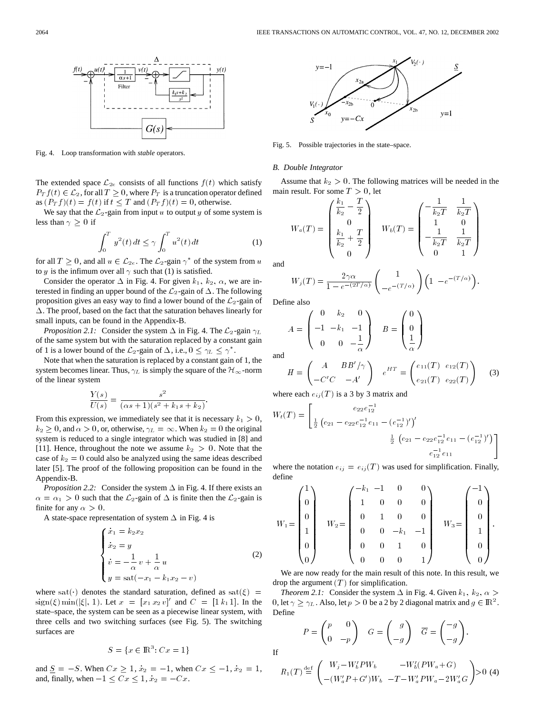

Fig. 4. Loop transformation with *stable* operators.

The extended space  $\mathcal{L}_{2e}$  consists of all functions  $f(t)$  which satisfy  $P_T f(t) \in \mathcal{L}_2$ , for all  $T \geq 0$ , where  $P_T$  is a truncation operator defined as  $(P_T f)(t) = f(t)$  if  $t \leq T$  and  $(P_T f)(t) = 0$ , otherwise.

We say that the  $\mathcal{L}_2$ -gain from input u to output y of some system is less than  $\gamma \geq 0$  if

$$
\int_0^T y^2(t) \, dt \le \gamma \int_0^T u^2(t) \, dt \tag{1}
$$

for all  $T \geq 0$ , and all  $u \in \mathcal{L}_{2e}$ . The  $\mathcal{L}_2$ -gain  $\gamma^*$  of the system from u to y is the infimum over all  $\gamma$  such that (1) is satisfied.

Consider the operator  $\Delta$  in Fig. 4. For given  $k_1$ ,  $k_2$ ,  $\alpha$ , we are interested in finding an upper bound of the  $\mathcal{L}_2$ -gain of  $\Delta$ . The following proposition gives an easy way to find a lower bound of the  $\mathcal{L}_2$ -gain of  $\Delta$ . The proof, based on the fact that the saturation behaves linearly for small inputs, can be found in the Appendix-B.

*Proposition 2.1:* Consider the system  $\Delta$  in Fig. 4. The  $\mathcal{L}_2$ -gain  $\gamma_L$ of the same system but with the saturation replaced by a constant gain of 1 is a lower bound of the  $\mathcal{L}_2$ -gain of  $\Delta$ , i.e.,  $0 \leq \gamma_L \leq \gamma^*$ .

Note that when the saturation is replaced by a constant gain of 1, the system becomes linear. Thus,  $\gamma_L$  is simply the square of the  $\mathcal{H}_{\infty}$ -norm of the linear system

$$
\frac{Y(s)}{U(s)} = \frac{s^2}{(\alpha s + 1)(s^2 + k_1 s + k_2)}
$$

From this expression, we immediately see that it is necessary  $k_1 > 0$ ,  $k_2 \geq 0$ , and  $\alpha > 0$ , or, otherwise,  $\gamma_L = \infty$ . When  $k_2 = 0$  the original system is reduced to a single integrator which was studied in [8] and [11]. Hence, throughout the note we assume  $k_2 > 0$ . Note that the case of  $k_2 = 0$  could also be analyzed using the same ideas described later [5]. The proof of the following proposition can be found in the Appendix-B.

*Proposition 2.2:* Consider the system  $\Delta$  in Fig. 4. If there exists an  $\alpha = \alpha_1 > 0$  such that the  $\mathcal{L}_2$ -gain of  $\Delta$  is finite then the  $\mathcal{L}_2$ -gain is finite for any  $\alpha > 0$ .

A state-space representation of system  $\Delta$  in Fig. 4 is

$$
\begin{cases}\n\dot{x}_1 = k_2 x_2 \\
\dot{x}_2 = y \\
\dot{v} = -\frac{1}{\alpha} v + \frac{1}{\alpha} u \\
y = \text{sat}\left(-x_1 - k_1 x_2 - v\right)\n\end{cases} \tag{2}
$$

:

where sat( $\cdot$ ) denotes the standard saturation, defined as sat( $\xi$ ) =  $sign(\xi) \min(|\xi|, 1)$ . Let  $x = [x_1 \, x_2 \, v]'$  and  $C = [1 \, k_1 \, 1]$ . In the state–space, the system can be seen as a piecewise linear system, with three cells and two switching surfaces (see Fig. 5). The switching surfaces are

$$
S = \{x \in \mathbb{R}^3 : Cx = 1\}
$$

and  $S = -S$ . When  $Cx \ge 1, x_2 = -1$ , when  $Cx \le -1, x_2 = 1$ , and, finally, when  $-1 \leq Cx \leq 1$ ,  $x_2 = -Cx$ .



Fig. 5. Possible trajectories in the state–space.

### *B. Double Integrator*

Assume that  $k_2 > 0$ . The following matrices will be needed in the main result. For some  $T > 0$ , let

$$
W_a(T) = \begin{pmatrix} \frac{k_1}{k_2} - \frac{T}{2} \\ 0 \\ \frac{k_1}{k_2} + \frac{T}{2} \\ 0 \end{pmatrix} \quad W_b(T) = \begin{pmatrix} -\frac{1}{k_2 T} & \frac{1}{k_2 T} \\ 1 & 0 \\ -\frac{1}{k_2 T} & \frac{1}{k_2 T} \\ 0 & 1 \end{pmatrix}
$$

and

$$
W_j(T) = \frac{2\gamma\alpha}{1 - e^{-(2T/\alpha)}} \begin{pmatrix} 1 \\ -e^{-(T/\alpha)} \end{pmatrix} \begin{pmatrix} 1 & -e^{-(T/\alpha)} \end{pmatrix}.
$$

Define also

$$
A = \begin{pmatrix} 0 & k_2 & 0 \\ -1 & -k_1 & -1 \\ 0 & 0 & -\frac{1}{\alpha} \end{pmatrix} \quad B = \begin{pmatrix} 0 \\ 0 \\ \frac{1}{\alpha} \end{pmatrix}
$$
 and

If

$$
H = \begin{pmatrix} A & BB'/\gamma \\ -C'C & -A' \end{pmatrix} e^{HT} = \begin{pmatrix} e_{11}(T) & e_{12}(T) \\ e_{21}(T) & e_{22}(T) \end{pmatrix}
$$
 (3)

where each  $e_{ij}(T)$  is a 3 by 3 matrix and

$$
W_t(T) = \begin{bmatrix} e_{22}e_{12}^{-1} \\ \frac{1}{2} \left( e_{21} - e_{22}e_{12}^{-1}e_{11} - (e_{12}^{-1})' \right)' \\ \frac{1}{2} \left( e_{21} - e_{22}e_{12}^{-1}e_{11} - (e_{12}^{-1})' \right) \\ e_{12}^{-1} e_{11} \end{bmatrix}
$$

where the notation  $e_{ij} = e_{ij}(T)$  was used for simplification. Finally, define

$$
W_1 = \begin{pmatrix} 1 \\ 0 \\ 0 \\ 1 \\ 0 \\ 0 \end{pmatrix} \quad W_2 = \begin{pmatrix} -k_1 & -1 & 0 & 0 \\ 1 & 0 & 0 & 0 \\ 0 & 1 & 0 & 0 \\ 0 & 0 & -k_1 & -1 \\ 0 & 0 & 1 & 0 \\ 0 & 0 & 0 & 1 \end{pmatrix} \quad W_3 = \begin{pmatrix} -1 \\ 0 \\ 0 \\ 1 \\ 0 \\ 0 \end{pmatrix}.
$$

We are now ready for the main result of this note. In this result, we drop the argument  $(T)$  for simplification.

*Theorem 2.1:* Consider the system  $\Delta$  in Fig. 4. Given  $k_1, k_2, \alpha >$ 0, let  $\gamma \ge \gamma_L$ . Also, let  $p > 0$  be a 2 by 2 diagonal matrix and  $g \in \mathbb{R}^2$ . Define

$$
P = \begin{pmatrix} p & 0 \\ 0 & -p \end{pmatrix} \quad G = \begin{pmatrix} g \\ -g \end{pmatrix} \quad \overline{G} = \begin{pmatrix} -g \\ -g \end{pmatrix}.
$$

$$
R_1(T) \stackrel{\text{def}}{=} \begin{pmatrix} W_j - W_b' PW_b & -W_b'(PW_a+G) \\ -(W_a'P+G')W_b & -T - W_a'PW_a - 2W_a'G \end{pmatrix} > 0 \tag{4}
$$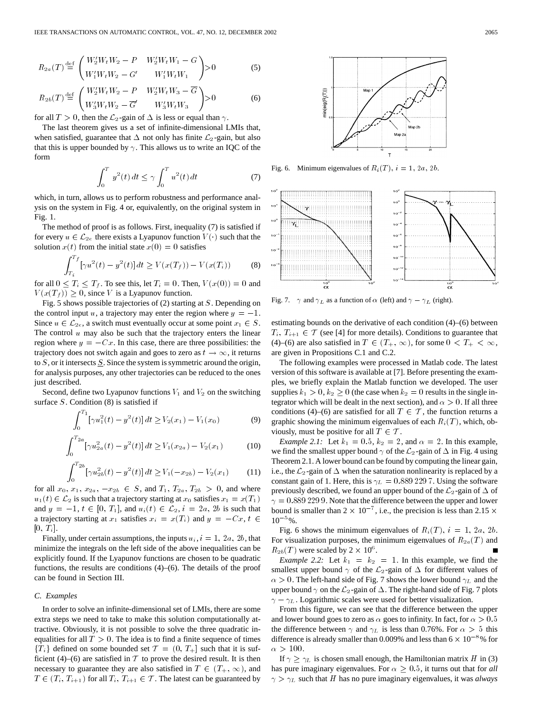$$
R_{2a}(T) \stackrel{\text{def}}{=} \begin{pmatrix} W_2' W_t W_2 - P & W_2' W_t W_1 - G \\ W_1' W_t W_2 - G' & W_1' W_t W_1 \end{pmatrix} > 0
$$
 (5)

$$
R_{2b}(T) \stackrel{\text{def}}{=} \begin{pmatrix} W_2' W_t W_2 - P & W_2' W_t W_3 - \overline{G} \\ W_3' W_t W_2 - \overline{G}' & W_3' W_t W_3 \end{pmatrix} > 0
$$
 (6)

for all  $T > 0$ , then the  $\mathcal{L}_2$ -gain of  $\Delta$  is less or equal than  $\gamma$ .

The last theorem gives us a set of infinite-dimensional LMIs that, when satisfied, guarantee that  $\Delta$  not only has finite  $\mathcal{L}_2$ -gain, but also that this is upper bounded by  $\gamma$ . This allows us to write an IQC of the form

$$
\int_0^T y^2(t) \, dt \le \gamma \int_0^T u^2(t) \, dt \tag{7}
$$

which, in turn, allows us to perform robustness and performance analysis on the system in Fig. 4 or, equivalently, on the original system in Fig. 1.

The method of proof is as follows. First, inequality (7) is satisfied if for every  $u \in \mathcal{L}_{2e}$  there exists a Lyapunov function  $V(\cdot)$  such that the solution  $x(t)$  from the initial state  $x(0) = 0$  satisfies

$$
\int_{T_i}^{T_f} [\gamma u^2(t) - y^2(t)] dt \ge V(x(T_f)) - V(x(T_i))
$$
 (8)

for all  $0 \leq T_i \leq T_f$ . To see this, let  $T_i = 0$ . Then,  $V(x(0)) = 0$  and  $V(x(T_f)) \geq 0$ , since V is a Lyapunov function.

Fig. 5 shows possible trajectories of (2) starting at S. Depending on the control input u, a trajectory may enter the region where  $y = -1$ . Since  $u \in \mathcal{L}_{2e}$ , a switch must eventually occur at some point  $x_1 \in S$ . The control  $u$  may also be such that the trajectory enters the linear region where  $y = -Cx$ . In this case, there are three possibilities: the trajectory does not switch again and goes to zero as  $t\rightarrow\infty,$  it returns to  $S$ , or it intersects  $S$ . Since the system is symmetric around the origin, for analysis purposes, any other trajectories can be reduced to the ones just described.

Second, define two Lyapunov functions  $V_1$  and  $V_2$  on the switching surface  $S$ . Condition  $(8)$  is satisfied if

$$
\int_0^{T_1} \left[ \gamma u_1^2(t) - y^2(t) \right] dt \ge V_2(x_1) - V_1(x_0)
$$
 (9)

$$
\int_0^{T_{2a}} \left[ \gamma u_{2a}^2(t) - y^2(t) \right] dt \ge V_1(x_{2a}) - V_2(x_1)
$$
 (10)

$$
\int_0^{T_{2b}} \left[ \gamma u_{2b}^2(t) - y^2(t) \right] dt \ge V_1(-x_{2b}) - V_2(x_1)
$$
 (11)

for all  $x_0, x_1, x_{2a}, -x_{2b} \in S$ , and  $T_1, T_{2a}, T_{2b} > 0$ , and where  $u_1(t) \in \mathcal{L}_2$  is such that a trajectory starting at  $x_0$  satisfies  $x_1 = x(T_1)$ and  $y = -1, t \in [0, T_1]$ , and  $u_i(t) \in \mathcal{L}_2$ ,  $i = 2a$ , 2b is such that a trajectory starting at  $x_1$  satisfies  $x_i = x(T_i)$  and  $y = -Cx, t \in$  $[0, T_i].$ 

Finally, under certain assumptions, the inputs  $u_i$ ,  $i = 1, 2a, 2b$ , that minimize the integrals on the left side of the above inequalities can be explicitly found. If the Lyapunov functions are chosen to be quadratic functions, the results are conditions  $(4)$ – $(6)$ . The details of the proof can be found in Section III.

# *C. Examples*

In order to solve an infinite-dimensional set of LMIs, there are some extra steps we need to take to make this solution computationally attractive. Obviously, it is not possible to solve the three quadratic inequalities for all  $T > 0$ . The idea is to find a finite sequence of times  ${T_i}$  defined on some bounded set  $T = (0, T_+]$  such that it is sufficient (4)–(6) are satisfied in  $T$  to prove the desired result. It is then necessary to guarantee they are also satisfied in  $T \in (T_+, \infty)$ , and  $T \in (T_i, T_{i+1})$  for all  $T_i, T_{i+1} \in \mathcal{T}$ . The latest can be guaranteed by



Fig. 6. Minimum eigenvalues of  $R_i(T)$ ,  $i = 1, 2a, 2b$ .



estimating bounds on the derivative of each condition (4)–(6) between  $T_i, T_{i+1} \in \mathcal{T}$  (see [4] for more details). Conditions to guarantee that (4)–(6) are also satisfied in  $T \in (T_+,\infty)$ , for some  $0 < T_+ < \infty$ , are given in Propositions C.1 and C.2.

The following examples were processed in Matlab code. The latest version of this software is available at [7]. Before presenting the examples, we briefly explain the Matlab function we developed. The user supplies  $k_1 > 0$ ,  $k_2 \ge 0$  (the case when  $k_2 = 0$  results in the single integrator which will be dealt in the next section), and  $\alpha > 0$ . If all three conditions (4)–(6) are satisfied for all  $T \in \mathcal{T}$ , the function returns a graphic showing the minimum eigenvalues of each  $R_i(T)$ , which, obviously, must be positive for all  $T \in \mathcal{T}$ .

*Example 2.1:* Let  $k_1 = 0.5$ ,  $k_2 = 2$ , and  $\alpha = 2$ . In this example, we find the smallest upper bound  $\gamma$  of the  $\mathcal{L}_2$ -gain of  $\Delta$  in Fig. 4 using Theorem 2.1. A lower bound can be found by computing the linear gain, i.e., the  $\mathcal{L}_2$ -gain of  $\Delta$  when the saturation nonlinearity is replaced by a constant gain of 1. Here, this is  $\gamma_L = 0.8892297$ . Using the software previously described, we found an upper bound of the  $\mathcal{L}_2$ -gain of  $\Delta$  of  $\gamma = 0.8892299$ . Note that the difference between the upper and lower bound is smaller than  $2 \times 10^{-7}$ , i.e., the precision is less than 2.15  $\times$  $10^{-5}$ %.

Fig. 6 shows the minimum eigenvalues of  $R_i(T)$ ,  $i = 1, 2a, 2b$ . For visualization purposes, the minimum eigenvalues of  $R_{2a}(T)$  and  $R_{2b}(T)$  were scaled by  $2 \times 10^6$ .

*Example 2.2:* Let  $k_1 = k_2 = 1$ . In this example, we find the smallest upper bound  $\gamma$  of the  $\mathcal{L}_2$ -gain of  $\Delta$  for different values of  $\alpha > 0$ . The left-hand side of Fig. 7 shows the lower bound  $\gamma_L$  and the upper bound  $\gamma$  on the  $\mathcal{L}_2$ -gain of  $\Delta$ . The right-hand side of Fig. 7 plots  $\gamma - \gamma_L$ . Logarithmic scales were used for better visualization.

From this figure, we can see that the difference between the upper and lower bound goes to zero as  $\alpha$  goes to infinity. In fact, for  $\alpha > 0.5$ the difference between  $\gamma$  and  $\gamma$  is less than 0.76%. For  $\alpha > 5$  this difference is already smaller than 0.009% and less than  $6 \times 10^{-8}$ % for  $\alpha > 100$ .

If  $\gamma \geq \gamma_L$  is chosen small enough, the Hamiltonian matrix H in (3) has pure imaginary eigenvalues. For  $\alpha \geq 0.5$ , it turns out that for *all*  $\gamma > \gamma_L$  such that H has no pure imaginary eigenvalues, it was *always*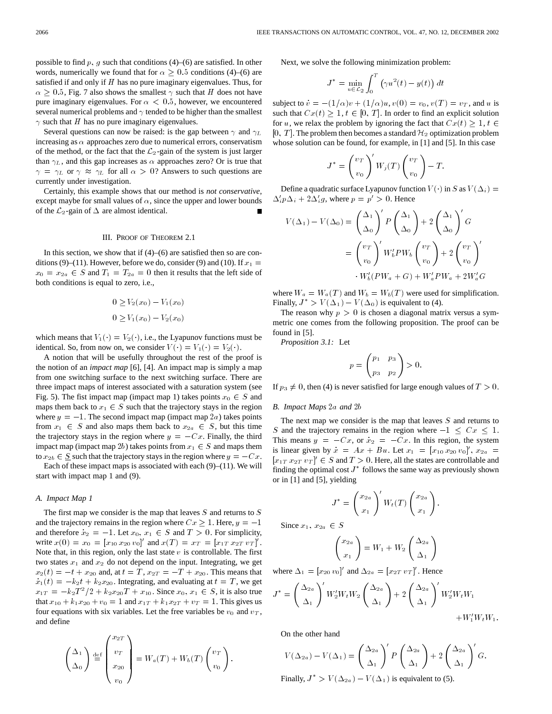possible to find p, g such that conditions  $(4)$ – $(6)$  are satisfied. In other words, numerically we found that for  $\alpha \geq 0.5$  conditions (4)–(6) are satisfied if and only if  $H$  has no pure imaginary eigenvalues. Thus, for  $\alpha \geq 0.5$ , Fig. 7 also shows the smallest  $\gamma$  such that H does not have pure imaginary eigenvalues. For  $\alpha < 0.5$ , however, we encountered several numerical problems and  $\gamma$  tended to be higher than the smallest  $\gamma$  such that H has no pure imaginary eigenvalues.

Several questions can now be raised: is the gap between  $\gamma$  and  $\gamma_L$ increasing as  $\alpha$  approaches zero due to numerical errors, conservatism of the method, or the fact that the  $\mathcal{L}_2$ -gain of the system is just larger than  $\gamma_L$ , and this gap increases as  $\alpha$  approaches zero? Or is true that  $\gamma = \gamma_L$  or  $\gamma \approx \gamma_L$  for all  $\alpha > 0$ ? Answers to such questions are currently under investigation.

Certainly, this example shows that our method is *not conservative*, except maybe for small values of  $\alpha$ , since the upper and lower bounds of the  $\mathcal{L}_2$ -gain of  $\Delta$  are almost identical.  $\blacksquare$ 

## III. PROOF OF THEOREM 2.1

In this section, we show that if  $(4)$ – $(6)$  are satisfied then so are conditions (9)–(11). However, before we do, consider (9) and (10). If  $x_1 =$  $x_0 = x_{2a} \in S$  and  $T_1 = T_{2a} = 0$  then it results that the left side of both conditions is equal to zero, i.e.,

$$
0 \ge V_2(x_0) - V_1(x_0)
$$
  

$$
0 \ge V_1(x_0) - V_2(x_0)
$$

which means that  $V_1(\cdot) = V_2(\cdot)$ , i.e., the Lyapunov functions must be identical. So, from now on, we consider  $V(\cdot) = V_1(\cdot) = V_2(\cdot)$ .

A notion that will be usefully throughout the rest of the proof is the notion of an *impact map* [6], [4]. An impact map is simply a map from one switching surface to the next switching surface. There are three impact maps of interest associated with a saturation system (see Fig. 5). The fist impact map (impact map 1) takes points  $x_0 \in S$  and maps them back to  $x_1 \in S$  such that the trajectory stays in the region where  $y = -1$ . The second impact map (impact map 2a) takes points from  $x_1 \in S$  and also maps them back to  $x_{2a} \in S$ , but this time the trajectory stays in the region where  $y = -Cx$ . Finally, the third impact map (impact map 2b) takes points from  $x_1 \in S$  and maps them to  $x_{2b} \in S$  such that the trajectory stays in the region where  $y = -Cx$ .

Each of these impact maps is associated with each  $(9)$ – $(11)$ . We will start with impact map 1 and (9).

### *A. Impact Map 1*

The first map we consider is the map that leaves  $S$  and returns to  $S$ and the trajectory remains in the region where  $Cx \geq 1$ . Here,  $y = -1$ and therefore  $x_2 = -1$ . Let  $x_0, x_1 \in S$  and  $T > 0$ . For simplicity, write  $x(0) = x_0 = [x_{10} x_{20} v_0]'$  and  $x(T) = x_T = [x_{1T} x_{2T} v_T]'$ . Note that, in this region, only the last state  $v$  is controllable. The first two states  $x_1$  and  $x_2$  do not depend on the input. Integrating, we get  $x_2(t) = -t + x_{20}$  and, at  $t = T$ ,  $x_{2T} = -T + x_{20}$ . This means that  $\dot{x}_1(t) = -k_2t + k_2x_{20}$ . Integrating, and evaluating at  $t = T$ , we get  $x_{1T} = -k_2T^2/2 + k_2x_{20}T + x_{10}$ . Since  $x_0, x_1 \in S$ , it is also true that  $x_{10} + k_1x_{20} + v_0 = 1$  and  $x_{1T} + k_1x_{2T} + v_T = 1$ . This gives us four equations with six variables. Let the free variables be  $v_0$  and  $v_T$ , and define

$$
\begin{pmatrix} \Delta_1 \\ \Delta_0 \end{pmatrix} \stackrel{\text{def}}{=} \begin{pmatrix} x_{2T} \\ v_T \\ x_{20} \\ v_0 \end{pmatrix} = W_a(T) + W_b(T) \begin{pmatrix} v_T \\ v_0 \end{pmatrix}.
$$

Next, we solve the following minimization problem:

$$
J^* = \min_{u \in \mathcal{L}_2} \int_0^T \left( \gamma u^2(t) - y(t) \right) dt
$$

subject to  $v = -(1/\alpha)v + (1/\alpha)u, v(0) = v_0, v(T) = v_T$ , and u is such that  $Cx(t) \geq 1, t \in [0, T]$ . In order to find an explicit solution for u, we relax the problem by ignoring the fact that  $Cx(t) \geq 1, t \in$ [0, T]. The problem then becomes a standard  $\mathcal{H}_2$  optimization problem whose solution can be found, for example, in [1] and [5]. In this case

$$
J^* = \left(\begin{array}{c} v_T \\ v_0 \end{array}\right)' W_j(T) \left(\begin{array}{c} v_T \\ v_0 \end{array}\right) - T.
$$

Define a quadratic surface Lyapunov function  $V(\cdot)$  in S as  $V(\Delta_i) =$  $\Delta'_i p \Delta_i + 2 \Delta'_i g$ , where  $p = p' > 0$ . Hence

$$
V(\Delta_1) - V(\Delta_0) = \left(\frac{\Delta_1}{\Delta_0}\right)' P\left(\frac{\Delta_1}{\Delta_0}\right) + 2\left(\frac{\Delta_1}{\Delta_0}\right)' G
$$
  
= 
$$
\left(\frac{v_T}{v_0}\right)' W_b' PW_b \left(\frac{v_T}{v_0}\right) + 2\left(\frac{v_T}{v_0}\right)'
$$
  

$$
\cdot W_b'(PW_a + G) + W_a' PW_a + 2W_a'G
$$

where  $W_a = W_a(T)$  and  $W_b = W_b(T)$  were used for simplification. Finally,  $J^* > V(\Delta_1) - V(\Delta_0)$  is equivalent to (4).

The reason why  $p > 0$  is chosen a diagonal matrix versus a symmetric one comes from the following proposition. The proof can be found in [5].

*Proposition 3.1:* Let

$$
p = \begin{pmatrix} p_1 & p_3 \\ p_3 & p_2 \end{pmatrix} > 0.
$$

If  $p_3 \neq 0$ , then (4) is never satisfied for large enough values of  $T > 0$ .

# *B. Impact Maps* 2a *and* 2b

The next map we consider is the map that leaves  $S$  and returns to S and the trajectory remains in the region where  $-1 \leq Cx \leq 1$ . This means  $y = -Cx$ , or  $\dot{x}_2 = -Cx$ . In this region, the system is linear given by  $x = Ax + Bu$ . Let  $x_1 = [x_{10} x_{20} v_0]'$ ,  $x_{2a} =$  $[x_{1T} x_{2T} y_T]' \in S$  and  $T > 0$ . Here, all the states are controllable and finding the optimal cost  $J^*$  follows the same way as previously shown or in [1] and [5], yielding

$$
J^* = \left(\frac{x_{2a}}{x_1}\right)' W_t(T) \left(\frac{x_{2a}}{x_1}\right).
$$

Since  $x_1, x_{2a} \in S$ 

$$
\begin{pmatrix} x_{2a} \\ x_1 \end{pmatrix} = W_1 + W_2 \begin{pmatrix} \Delta_{2a} \\ \Delta_1 \end{pmatrix}
$$

where  $\Delta_1 = [x_{20} v_0]'$  and  $\Delta_{2a} = [x_{2T} v_T]'$ . Hence

$$
J^* = \left(\frac{\Delta_{2a}}{\Delta_1}\right)' W_2' W_t W_2 \left(\frac{\Delta_{2a}}{\Delta_1}\right) + 2 \left(\frac{\Delta_{2a}}{\Delta_1}\right)' W_2' W_t W_1 + W_1' W_t W_1.
$$

On the other hand

$$
V(\Delta_{2a}) - V(\Delta_1) = \left(\frac{\Delta_{2a}}{\Delta_1}\right)' P\left(\frac{\Delta_{2a}}{\Delta_1}\right) + 2\left(\frac{\Delta_{2a}}{\Delta_1}\right)' G.
$$

Finally,  $J^* > V(\Delta_{2a}) - V(\Delta_1)$  is equivalent to (5).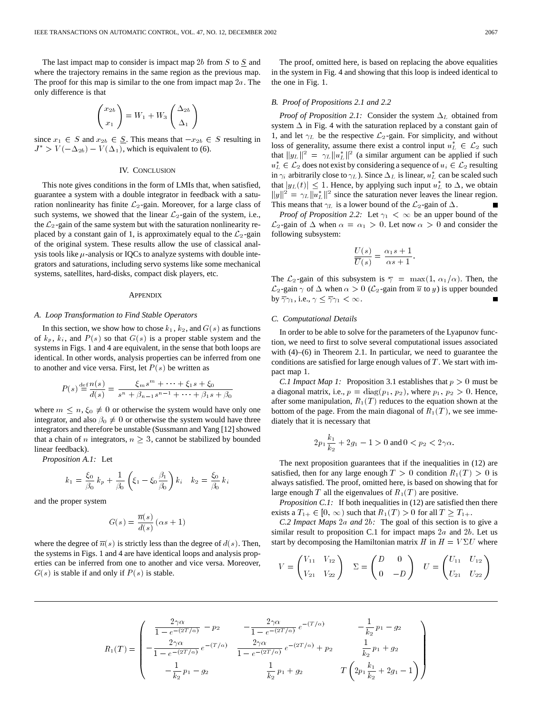The last impact map to consider is impact map  $2b$  from  $S$  to  $S$  and where the trajectory remains in the same region as the previous map. The proof for this map is similar to the one from impact map  $2a$ . The only difference is that

$$
\begin{pmatrix} x_{2b} \\ x_1 \end{pmatrix} = W_1 + W_3 \begin{pmatrix} \Delta_{2b} \\ \Delta_1 \end{pmatrix}
$$

since  $x_1 \in S$  and  $x_{2b} \in \underline{S}$ . This means that  $-x_{2b} \in S$  resulting in  $J^* > V(-\Delta_{2b}) - V(\Delta_1)$ , which is equivalent to (6).

# IV. CONCLUSION

This note gives conditions in the form of LMIs that, when satisfied, guarantee a system with a double integrator in feedback with a saturation nonlinearity has finite  $\mathcal{L}_2$ -gain. Moreover, for a large class of such systems, we showed that the linear  $\mathcal{L}_2$ -gain of the system, i.e., the  $\mathcal{L}_2$ -gain of the same system but with the saturation nonlinearity replaced by a constant gain of 1, is approximately equal to the  $\mathcal{L}_2$ -gain of the original system. These results allow the use of classical analysis tools like  $\mu$ -analysis or IQCs to analyze systems with double integrators and saturations, including servo systems like some mechanical systems, satellites, hard-disks, compact disk players, etc.

# **APPENDIX**

### *A. Loop Transformation to Find Stable Operators*

In this section, we show how to chose  $k_1, k_2$ , and  $G(s)$  as functions of  $k_p$ ,  $k_i$ , and  $P(s)$  so that  $G(s)$  is a proper stable system and the systems in Figs. 1 and 4 are equivalent, in the sense that both loops are identical. In other words, analysis properties can be inferred from one to another and vice versa. First, let  $P(s)$  be written as

$$
P(s) \stackrel{\text{def}}{=} \frac{n(s)}{d(s)} = \frac{\xi_m s^m + \dots + \xi_1 s + \xi_0}{s^n + \beta_{n-1} s^{n-1} + \dots + \beta_1 s + \beta_0}
$$

where  $m \leq n, \xi_0 \neq 0$  or otherwise the system would have only one integrator, and also  $\beta_0 \neq 0$  or otherwise the system would have three integrators and therefore be unstable (Sussmann and Yang [12] showed that a chain of n integrators,  $n \geq 3$ , cannot be stabilized by bounded linear feedback).

*Proposition A.1:* Let

$$
k_1 = \frac{\xi_0}{\beta_0} k_p + \frac{1}{\beta_0} \left( \xi_1 - \xi_0 \frac{\beta_1}{\beta_0} \right) k_i \quad k_2 = \frac{\xi_0}{\beta_0} k_i
$$

and the proper system

$$
G(s)=\frac{\overline{n}(s)}{d(s)}\left(\alpha s+1\right)
$$

where the degree of  $\overline{n}(s)$  is strictly less than the degree of  $d(s)$ . Then, the systems in Figs. 1 and 4 are have identical loops and analysis properties can be inferred from one to another and vice versa. Moreover,  $G(s)$  is stable if and only if  $P(s)$  is stable.

The proof, omitted here, is based on replacing the above equalities in the system in Fig. 4 and showing that this loop is indeed identical to the one in Fig. 1.

# *B. Proof of Propositions 2.1 and 2.2*

*Proof of Proposition 2.1:* Consider the system  $\Delta_L$  obtained from system  $\Delta$  in Fig. 4 with the saturation replaced by a constant gain of 1, and let  $\gamma_L$  be the respective  $\mathcal{L}_2$ -gain. For simplicity, and without loss of generality, assume there exist a control input  $u_L^* \in \mathcal{L}_2$  such that  $||y_L||^2 = \gamma_L ||u_L^*||^2$  (a similar argument can be applied if such  $u_L^* \in \mathcal{L}_2$  does not exist by considering a sequence of  $u_i \in \mathcal{L}_2$  resulting in  $\gamma_i$  arbitrarily close to  $\gamma_L$ ). Since  $\Delta_L$  is linear,  $u_L^*$  can be scaled such that  $|y_L(t)| \leq 1$ . Hence, by applying such input  $u_L^*$  to  $\Delta$ , we obtain  $||y||^2 = \gamma_L ||\overline{u}_L^*||^2$  since the saturation never leaves the linear region. This means that  $\gamma_L$  is a lower bound of the  $\mathcal{L}_2$ -gain of  $\Delta$ .

*Proof of Proposition 2.2:* Let  $\gamma_1 < \infty$  be an upper bound of the  $\mathcal{L}_2$ -gain of  $\Delta$  when  $\alpha = \alpha_1 > 0$ . Let now  $\alpha > 0$  and consider the following subsystem:

$$
\frac{U(s)}{\overline{U}(s)} = \frac{\alpha_1 s + 1}{\alpha s + 1}.
$$

The  $\mathcal{L}_2$ -gain of this subsystem is  $\overline{\gamma} = \max(1, \alpha_1/\alpha)$ . Then, the  $\mathcal{L}_2$ -gain  $\gamma$  of  $\Delta$  when  $\alpha > 0$  ( $\mathcal{L}_2$ -gain from  $\overline{u}$  to y) is upper bounded by  $\overline{\gamma}\gamma_1$ , i.e.,  $\gamma \leq \overline{\gamma}\gamma_1 < \infty$ .

# *C. Computational Details*

In order to be able to solve for the parameters of the Lyapunov function, we need to first to solve several computational issues associated with (4)–(6) in Theorem 2.1. In particular, we need to guarantee the conditions are satisfied for large enough values of  $T$ . We start with impact map 1.

*C.1 Impact Map 1:* Proposition 3.1 establishes that  $p > 0$  must be a diagonal matrix, i.e.,  $p = diag(p_1, p_2)$ , where  $p_1, p_2 > 0$ . Hence, after some manipulation,  $R_1(T)$  reduces to the equation shown at the bottom of the page. From the main diagonal of  $R_1(T)$ , we see immediately that it is necessary that

$$
2p_1\frac{k_1}{k_2} + 2g_1 - 1 > 0
$$
 and 
$$
0 < p_2 < 2\gamma\alpha.
$$

The next proposition guarantees that if the inequalities in (12) are satisfied, then for any large enough  $T > 0$  condition  $R_1(T) > 0$  is always satisfied. The proof, omitted here, is based on showing that for large enough T all the eigenvalues of  $R_1(T)$  are positive.

*Proposition C.1:* If both inequalities in (12) are satisfied then there exists a  $T_{1+} \in [0, \infty)$  such that  $R_1(T) > 0$  for all  $T \geq T_{1+}$ .

*C.2 Impact Maps* 2a *and* 2b*:* The goal of this section is to give a similar result to proposition C.1 for impact maps  $2a$  and  $2b$ . Let us start by decomposing the Hamiltonian matrix H in  $H = V \Sigma U$  where

$$
V = \begin{pmatrix} V_{11} & V_{12} \\ V_{21} & V_{22} \end{pmatrix} \quad \Sigma = \begin{pmatrix} D & 0 \\ 0 & -D \end{pmatrix} \quad U = \begin{pmatrix} U_{11} & U_{12} \\ U_{21} & U_{22} \end{pmatrix}
$$

$$
R_1(T) = \begin{pmatrix} \frac{2\gamma\alpha}{1 - e^{-(2T/\alpha)}} - p_2 & -\frac{2\gamma\alpha}{1 - e^{-(2T/\alpha)}} e^{-(T/\alpha)} & -\frac{1}{k_2} p_1 - g_2 \\ -\frac{2\gamma\alpha}{1 - e^{-(2T/\alpha)}} e^{-(T/\alpha)} & \frac{2\gamma\alpha}{1 - e^{-(2T/\alpha)}} e^{-(2T/\alpha)} + p_2 & \frac{1}{k_2} p_1 + g_2 \\ -\frac{1}{k_2} p_1 - g_2 & \frac{1}{k_2} p_1 + g_2 & T\left(2p_1\frac{k_1}{k_2} + 2g_1 - 1\right) \end{pmatrix}
$$